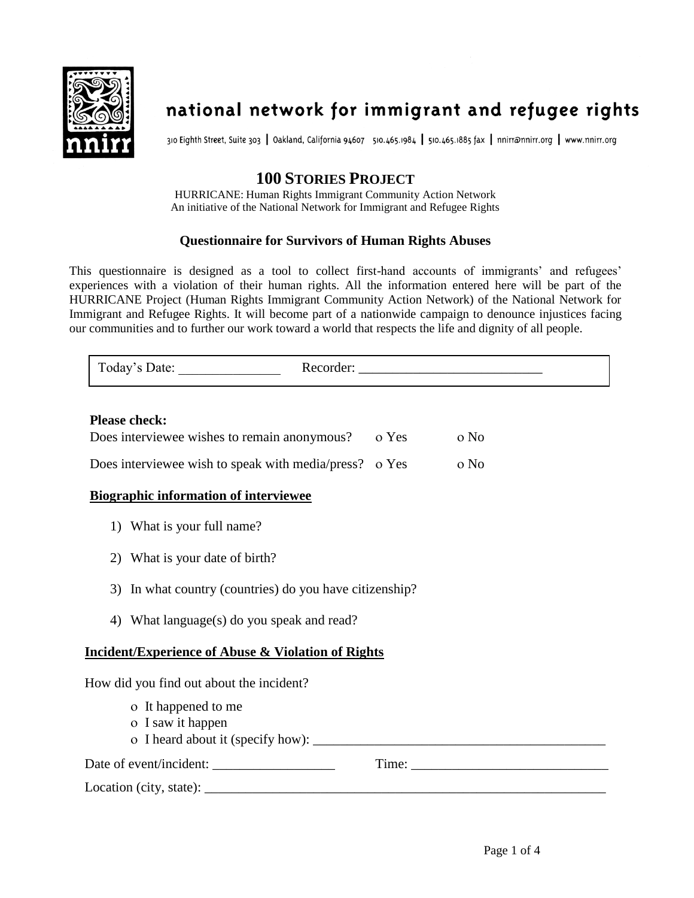

# national network for immigrant and refugee rights

310 Eighth Street, Suite 303 | Oakland, California 94607 510.465.1984 | 510.465.1885 fax | nnirr@nnirr.org | www.nnirr.org

## **100 STORIES PROJECT**

HURRICANE: Human Rights Immigrant Community Action Network An initiative of the National Network for Immigrant and Refugee Rights

#### **Questionnaire for Survivors of Human Rights Abuses**

This questionnaire is designed as a tool to collect first-hand accounts of immigrants' and refugees' experiences with a violation of their human rights. All the information entered here will be part of the HURRICANE Project (Human Rights Immigrant Community Action Network) of the National Network for Immigrant and Refugee Rights. It will become part of a nationwide campaign to denounce injustices facing our communities and to further our work toward a world that respects the life and dignity of all people.

| Today's Date:        | Recorder: |
|----------------------|-----------|
| Please check $\cdot$ |           |

#### **Please check:**

| Does interviewee wishes to remain anonymous?           | o Yes | o No |
|--------------------------------------------------------|-------|------|
| Does interviewee wish to speak with media/press? o Yes |       | o No |

#### **Biographic information of interviewee**

- 1) What is your full name?
- 2) What is your date of birth?
- 3) In what country (countries) do you have citizenship?
- 4) What language(s) do you speak and read?

#### **Incident/Experience of Abuse & Violation of Rights**

How did you find out about the incident?

- It happened to me
- o I saw it happen
- I heard about it (specify how): \_\_\_\_\_\_\_\_\_\_\_\_\_\_\_\_\_\_\_\_\_\_\_\_\_\_\_\_\_\_\_\_\_\_\_\_\_\_\_\_\_\_\_

 $Location (city, state): \nightharpoonup$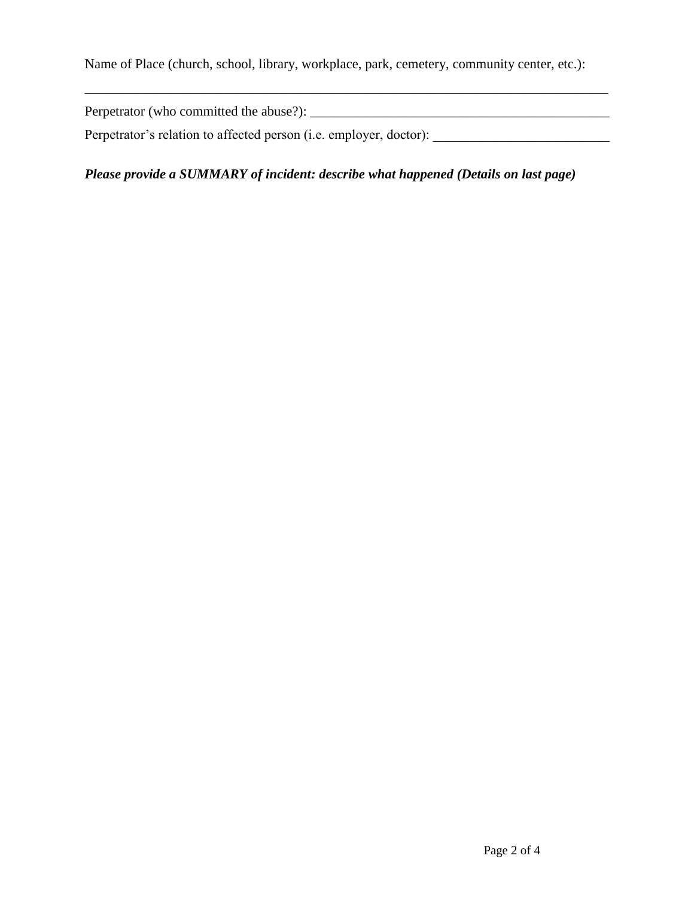Name of Place (church, school, library, workplace, park, cemetery, community center, etc.):

Perpetrator (who committed the abuse?): \_\_\_\_\_\_\_\_\_\_\_\_\_\_\_\_\_\_\_\_\_\_\_\_\_\_\_\_\_\_\_\_\_\_\_\_\_\_\_\_\_\_\_\_

\_\_\_\_\_\_\_\_\_\_\_\_\_\_\_\_\_\_\_\_\_\_\_\_\_\_\_\_\_\_\_\_\_\_\_\_\_\_\_\_\_\_\_\_\_\_\_\_\_\_\_\_\_\_\_\_\_\_\_\_\_\_\_\_\_\_\_\_\_\_\_\_\_\_\_\_\_

Perpetrator's relation to affected person (i.e. employer, doctor): \_\_\_\_\_\_\_\_\_\_\_\_\_\_\_\_\_\_\_\_\_\_\_\_\_\_

*Please provide a SUMMARY of incident: describe what happened (Details on last page)*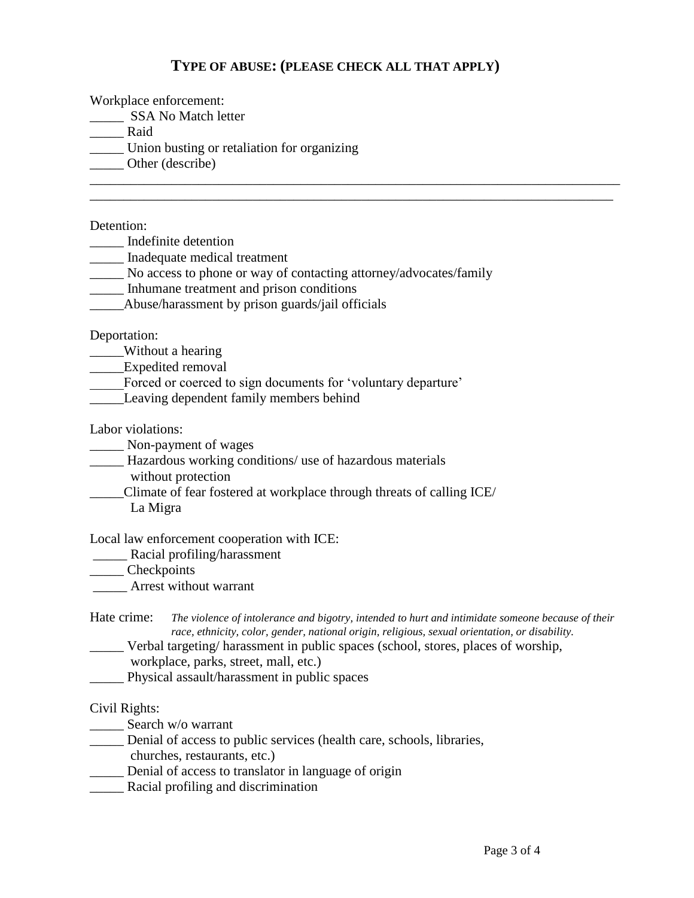### **TYPE OF ABUSE: (PLEASE CHECK ALL THAT APPLY)**

\_\_\_\_\_\_\_\_\_\_\_\_\_\_\_\_\_\_\_\_\_\_\_\_\_\_\_\_\_\_\_\_\_\_\_\_\_\_\_\_\_\_\_\_\_\_\_\_\_\_\_\_\_\_\_\_\_\_\_\_\_\_\_\_\_\_\_\_\_\_\_\_\_\_\_\_\_\_ \_\_\_\_\_\_\_\_\_\_\_\_\_\_\_\_\_\_\_\_\_\_\_\_\_\_\_\_\_\_\_\_\_\_\_\_\_\_\_\_\_\_\_\_\_\_\_\_\_\_\_\_\_\_\_\_\_\_\_\_\_\_\_\_\_\_\_\_\_\_\_\_\_\_\_\_\_

Workplace enforcement:

\_\_\_\_\_\_\_ SSA No Match letter

\_\_\_\_\_ Raid

\_\_\_\_\_ Union busting or retaliation for organizing

Other (describe)

Detention:

\_\_\_\_\_ Indefinite detention

\_\_\_\_\_ Inadequate medical treatment

\_\_\_\_\_ No access to phone or way of contacting attorney/advocates/family

\_\_\_\_\_ Inhumane treatment and prison conditions

\_\_\_\_\_Abuse/harassment by prison guards/jail officials

Deportation:

\_\_\_\_\_Without a hearing

\_\_\_\_\_Expedited removal

Forced or coerced to sign documents for 'voluntary departure'

\_\_\_\_\_Leaving dependent family members behind

Labor violations:

\_\_\_\_\_ Non-payment of wages

- \_\_\_\_\_ Hazardous working conditions/ use of hazardous materials
	- without protection
- \_\_\_\_\_Climate of fear fostered at workplace through threats of calling ICE/ La Migra

Local law enforcement cooperation with ICE:

\_\_\_\_\_ Racial profiling/harassment

\_\_\_\_\_ Checkpoints

\_\_\_\_\_ Arrest without warrant

Hate crime: *The violence of intolerance and bigotry, intended to hurt and intimidate someone because of their race, ethnicity, color, gender, national origin, religious, sexual orientation, or disability.*

\_\_\_\_\_ Verbal targeting/ harassment in public spaces (school, stores, places of worship, workplace, parks, street, mall, etc.)

\_\_\_\_\_ Physical assault/harassment in public spaces

#### Civil Rights:

\_\_\_\_\_\_ Search w/o warrant

\_\_\_\_\_ Denial of access to public services (health care, schools, libraries,

churches, restaurants, etc.)

- \_\_\_\_\_ Denial of access to translator in language of origin
- \_\_\_\_\_ Racial profiling and discrimination